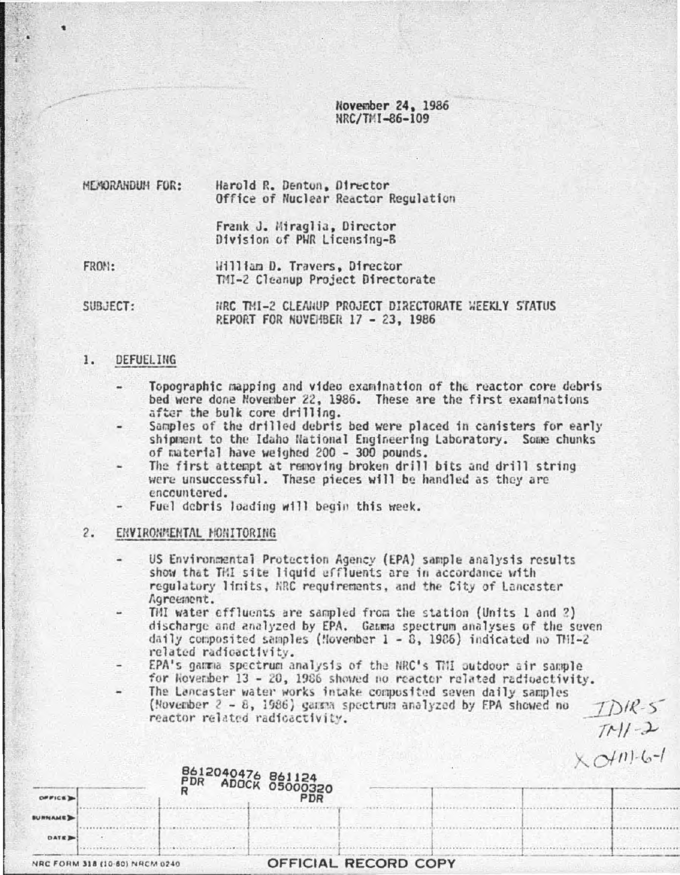November 24, 1986 NRC/TMI-86-109

MEMORANDUM FOR: Harold R. Denton, Director Office of Nuclear Reactor Regulation

> Frank J. Miraglia, Director Division of PWR Licensing-B

FROM: William D. Travers, Director TMI-2 Cleanup Project Directorate

SUBJECT: HRC TMI-2 CLEAHUP PROJECT DIRECTORATE WEEKLY STATUS REPORT FOR NUVEHBER 17 - 23, 1986

#### $1.$ DEFUELING

- Topographic mapping and video examination of the reactor core debris bed were done November 22, 1986. These are the first examinations after the bulk core drilling.
- Samples of the drilled debris bed were placed in canisters for early shipment to the Idaho National Engineering Laboratory. Some chunks of material have weighed 200 - 300 pounds.
- The first attempt at removing broken drill bits and drill string were unsuccessful. These pieces will be handled as they are encountered.
- Fuel debris loading will begin this week.

# 2. ENVIRONMENTAL MONITORING

- US Environmental Protection Agency (EPA) sample analysis results show that TMI site liquid effluents are in accordance with regulatory limits, NRC requirements, and the City of Lancaster Agreement.
- TMI water effluents are sampled from the station (Units 1 and 2) discharge and analyzed by EPA. Gamma spectrum analyses of the seven daily composited samples (Movember  $1 - 8$ , 1986) indicated no THI-2 related radioactivity.
- EPA's gamma spectrum analysis of the NRC's TMI outdoor air sample for November 13 - 20, 1986 showed no reactor related radioactivity.

 $DIR-S$ 

 $T1/1-2$ 

 $\sim$  Int.  $l - l$ 

The Lancaster water works intake composited seven daily samples (November 2 - 8, 1986) gamma spectrum analyzed by EPA showed no reactor related radioactivity.

|                |                                | 8612040476 861124<br>PDR ADOCK 0500 <u>032</u> 0 |  | $\left( \frac{1}{2} \right)$ |
|----------------|--------------------------------|--------------------------------------------------|--|------------------------------|
| OFFICE >       |                                | <b>PDR</b>                                       |  |                              |
| <b>BURNAME</b> |                                |                                                  |  |                              |
| DATE D         |                                |                                                  |  |                              |
|                | NRC FORM 318 (10-60) NRCM 0240 | OFFICIAL RECORD COPY                             |  |                              |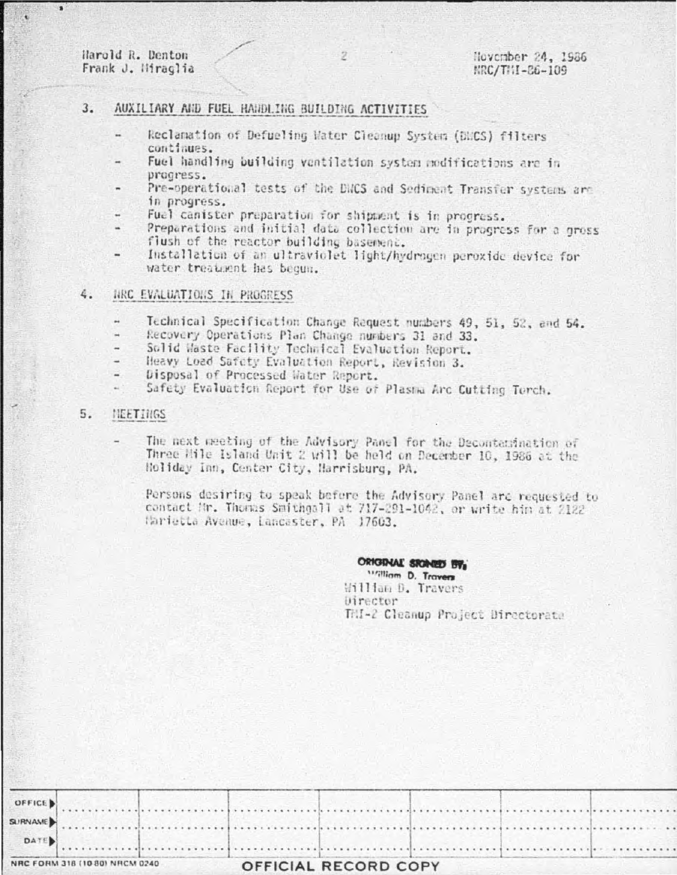Harold R. Denton Frank J. Miraglia

٠

### AUXILIARY AND FUEL HANDLING BUILDING ACTIVITIES  $3.$

- Reclamation of Defueling Water Cleanup System (DUCS) filters continues.
- Fuel handling building ventilation system nodifications are in progress.
- Pre-operational tests of the DNCS and Sediment Transfer systems are in progress.
- Fuel canister preparation for shipment is in progress.
- Preparations and initial data collection are in progress for a gross flush of the reactor building basement.
- Installation of an ultraviolet light/hydrogen peroxide device for water treatment has begun.

### 4. NRC EVALUATIONS IN PROGRESS

- Technical Specification Change Request numbers 49, 51, 52, and 54.
- Recovery Operations Plan Change numbers 31 and 33.
- Solid Waste Facility Technical Evaluation Report.
- Heavy Load Safety Evaluation Report, Revision 3.
- Disposal of Processed Water Report.
- Safety Evaluation Report for Use of Plasma Arc Cutting Torch.

#### $5.$ NEETINGS

The next meeting of the Advisory Panel for the Decontamination of Three Hile Island Unit 2 will be held on December 10, 1986 at the Holiday Inn, Center City, Harrisburg, PA.

Persons desiring to speak before the Advisory Panel arc requested to contact Mr. Thomas Smithgall at 717-291-1042, or write him at 2122 Harietta Avenue, Lancaster, PA 17603.

# ORIGINAL SICINED BY,

william D. Travers William D. Travers Director THI-2 Cleanup Project Directorate

| NRC FORM 318 (10 80) NRCM 0240 |              |  | OFFICIAL RECORD COPY |  |  |  |  |
|--------------------------------|--------------|--|----------------------|--|--|--|--|
|                                | $\sim$ DATE) |  |                      |  |  |  |  |
|                                |              |  |                      |  |  |  |  |
|                                |              |  |                      |  |  |  |  |
|                                |              |  |                      |  |  |  |  |

2